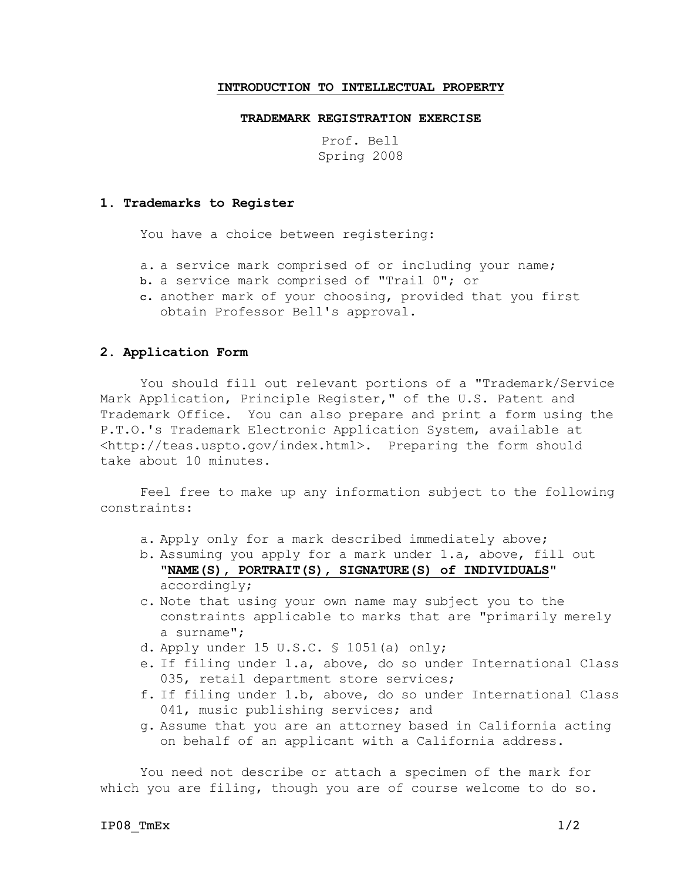### **INTRODUCTION TO INTELLECTUAL PROPERTY**

#### **TRADEMARK REGISTRATION EXERCISE**

Prof. Bell Spring 2008

### **1. Trademarks to Register**

You have a choice between registering:

- a. a service mark comprised of or including your name;
- b. a service mark comprised of "Trail 0"; or
- c. another mark of your choosing, provided that you first obtain Professor Bell's approval.

#### **2. Application Form**

You should fill out relevant portions of a "Trademark/Service Mark Application, Principle Register," of the U.S. Patent and Trademark Office. You can also prepare and print a form using the P.T.O.'s Trademark Electronic Application System, available at <http://teas.uspto.gov/index.html>. Preparing the form should take about 10 minutes.

Feel free to make up any information subject to the following constraints:

- a. Apply only for a mark described immediately above;
- b. Assuming you apply for a mark under 1.a, above, fill out "**NAME(S), PORTRAIT(S), SIGNATURE(S) of INDIVIDUALS**" accordingly;
- c. Note that using your own name may subject you to the constraints applicable to marks that are "primarily merely a surname";
- d. Apply under 15 U.S.C. § 1051(a) only;
- e. If filing under 1.a, above, do so under International Class 035, retail department store services;
- f. If filing under 1.b, above, do so under International Class 041, music publishing services; and
- g. Assume that you are an attorney based in California acting on behalf of an applicant with a California address.

You need not describe or attach a specimen of the mark for which you are filing, though you are of course welcome to do so.